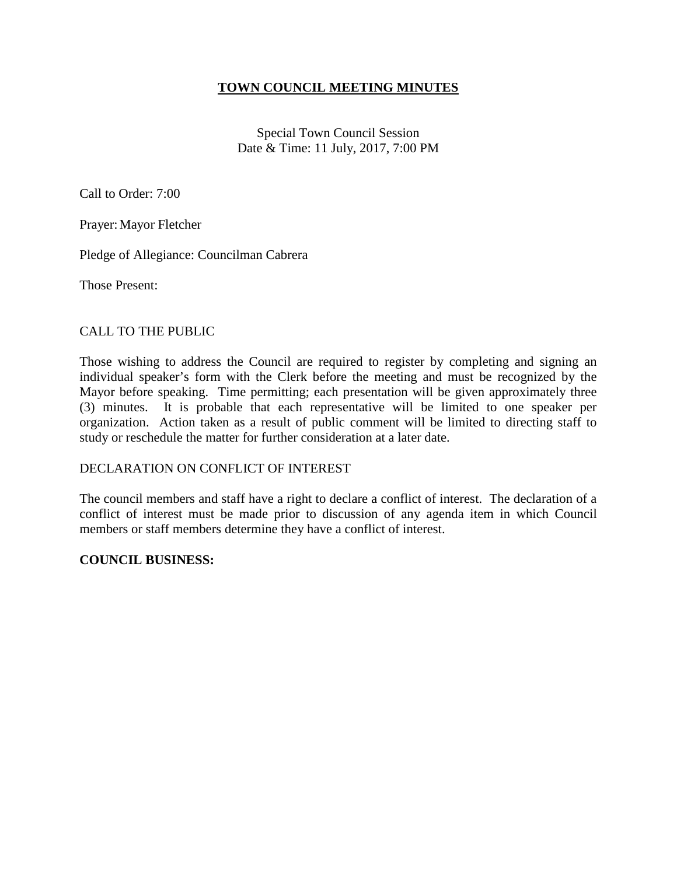## **TOWN COUNCIL MEETING MINUTES**

Special Town Council Session Date & Time: 11 July, 2017, 7:00 PM

Call to Order: 7:00

Prayer: Mayor Fletcher

Pledge of Allegiance: Councilman Cabrera

Those Present:

### CALL TO THE PUBLIC

Those wishing to address the Council are required to register by completing and signing an individual speaker's form with the Clerk before the meeting and must be recognized by the Mayor before speaking. Time permitting; each presentation will be given approximately three (3) minutes. It is probable that each representative will be limited to one speaker per organization. Action taken as a result of public comment will be limited to directing staff to study or reschedule the matter for further consideration at a later date.

#### DECLARATION ON CONFLICT OF INTEREST

The council members and staff have a right to declare a conflict of interest. The declaration of a conflict of interest must be made prior to discussion of any agenda item in which Council members or staff members determine they have a conflict of interest.

#### **COUNCIL BUSINESS:**